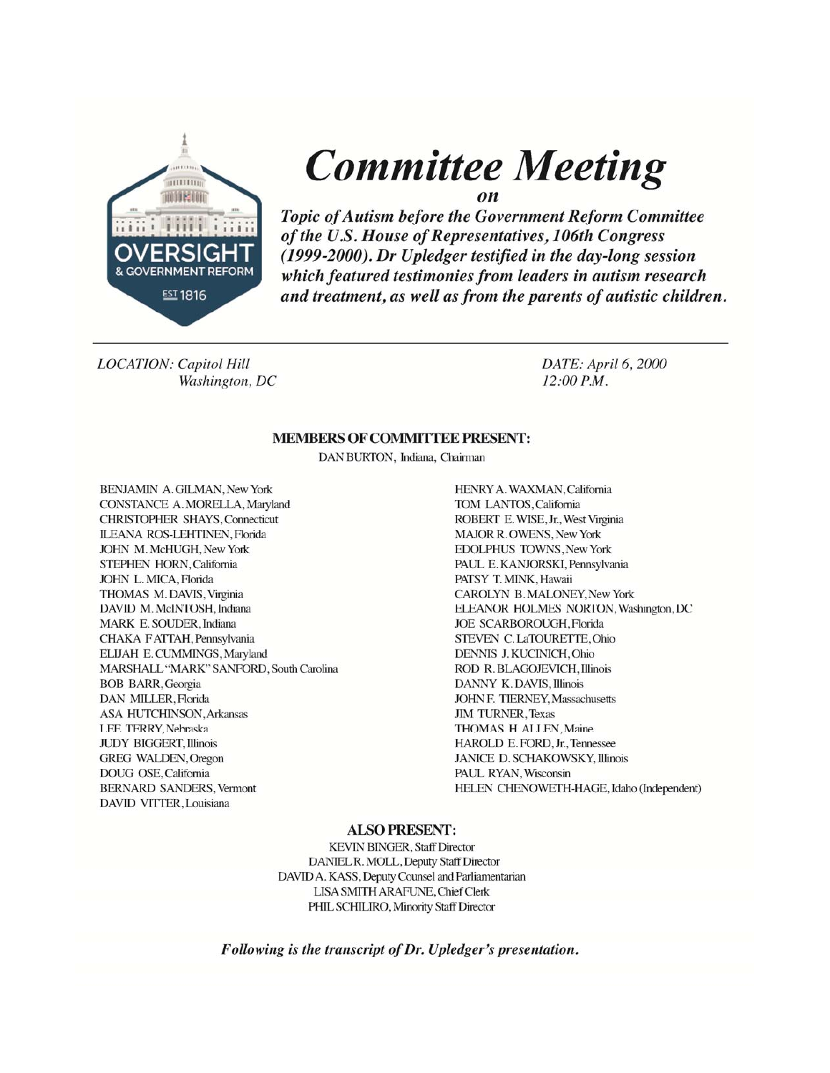

**Committee Meeting** 

Topic of Autism before the Government Reform Committee of the U.S. House of Representatives, 106th Congress (1999-2000). Dr Upledger testified in the day-long session which featured testimonies from leaders in autism research and treatment, as well as from the parents of autistic children.

**LOCATION: Capitol Hill** Washington, DC DATE: April 6, 2000  $12:00 P.M.$ 

#### **MEMBERS OF COMMITTEE PRESENT:**

DAN BURTON, Indiana, Chairman

**BENJAMIN A. GILMAN, New York** CONSTANCE A. MORELLA, Maryland **CHRISTOPHER SHAYS, Connecticut ILEANA ROS-LEHTINEN, Florida** JOHN M. McHUGH, New York STEPHEN HORN, California JOHN L. MICA, Florida THOMAS M. DAVIS, Virginia DAVID M. McINTOSH, Indiana MARK E. SOUDER, Indiana CHAKA FATTAH, Pennsylvania ELIJAH E. CUMMINGS, Maryland MARSHALL "MARK" SANFORD, South Carolina **BOB BARR, Georgia** DAN MILLER, Florida **ASA HUTCHINSON, Arkansas** LEE TERRY, Nebraska **JUDY BIGGERT, Illinois** GREG WALDEN, Oregon DOUG OSE, California **BERNARD SANDERS, Vermont** DAVID VITTER, Louisiana

HENRY A. WAXMAN, California TOM LANTOS, California ROBERT E. WISE, Jr., West Virginia **MAJOR R. OWENS, New York EDOLPHUS TOWNS, New York** PAUL E. KANJORSKI, Pennsylvania PATSY T. MINK, Hawaii CAROLYN B. MALONEY, New York ELEANOR HOLMES NORTON, Washington, DC **JOE SCARBOROUGH, Florida** STEVEN C.LaTOURETTE, Ohio DENNIS J. KUCINICH, Ohio ROD R. BLAGOJEVICH, Illinois **DANNY K. DAVIS, Illinois JOHN F. TIERNEY, Massachusetts JIM TURNER, Texas** THOMAS H. ALLEN, Maine HAROLD E. FORD, Jr., Tennessee JANICE D. SCHAKOWSKY, Illinois PAUL RYAN, Wisconsin HELEN CHENOWETH-HAGE, Idaho (Independent)

#### **ALSO PRESENT:**

**KEVIN BINGER, Staff Director** DANIEL R. MOLL, Deputy Staff Director DAVID A. KASS, Deputy Counsel and Parliamentarian **LISA SMITH ARAFUNE, Chief Clerk** PHIL SCHILIRO, Minority Staff Director

Following is the transcript of Dr. Upledger's presentation.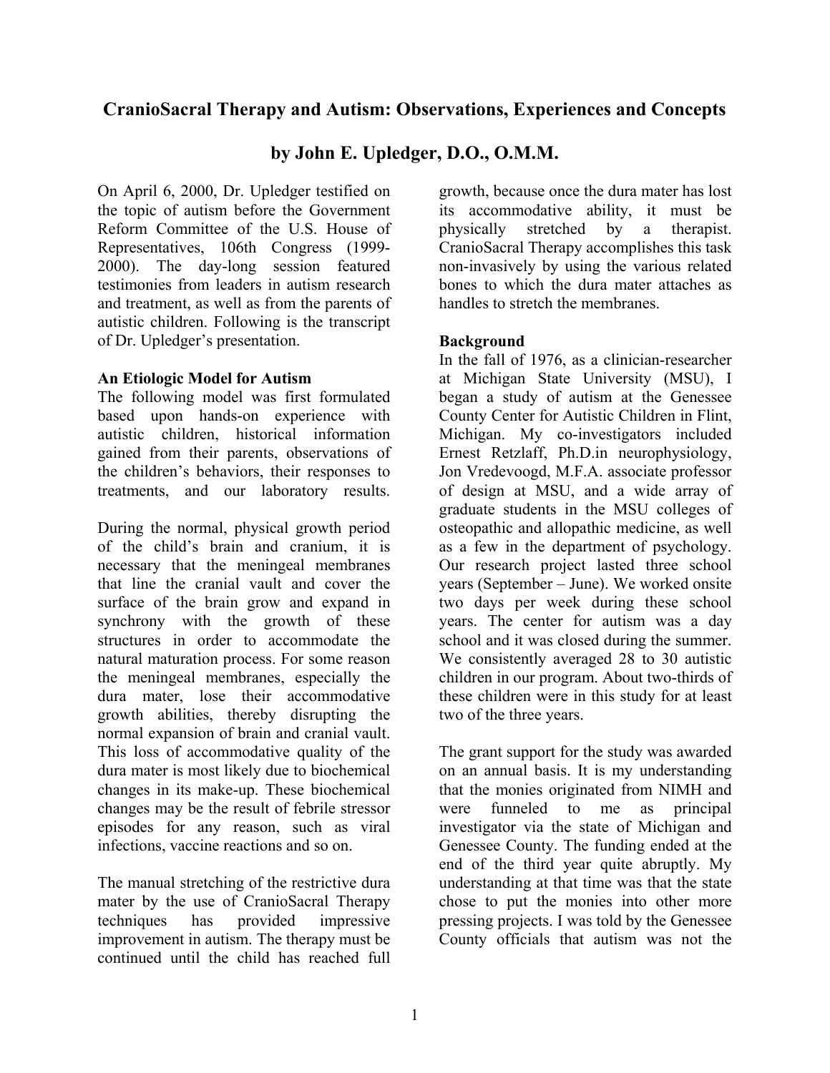# **CranioSacral Therapy and Autism: Observations, Experiences and Concepts**

## **by John E. Upledger, D.O., O.M.M.**

On April 6, 2000, Dr. Upledger testified on the topic of autism before the Government Reform Committee of the U.S. House of Representatives, 106th Congress (1999- 2000). The day-long session featured testimonies from leaders in autism research and treatment, as well as from the parents of autistic children. Following is the transcript of Dr. Upledger's presentation.

#### **An Etiologic Model for Autism**

The following model was first formulated based upon hands-on experience with autistic children, historical information gained from their parents, observations of the children's behaviors, their responses to treatments, and our laboratory results.

During the normal, physical growth period of the child's brain and cranium, it is necessary that the meningeal membranes that line the cranial vault and cover the surface of the brain grow and expand in synchrony with the growth of these structures in order to accommodate the natural maturation process. For some reason the meningeal membranes, especially the dura mater, lose their accommodative growth abilities, thereby disrupting the normal expansion of brain and cranial vault. This loss of accommodative quality of the dura mater is most likely due to biochemical changes in its make-up. These biochemical changes may be the result of febrile stressor episodes for any reason, such as viral infections, vaccine reactions and so on.

The manual stretching of the restrictive dura mater by the use of CranioSacral Therapy techniques has provided impressive improvement in autism. The therapy must be continued until the child has reached full

growth, because once the dura mater has lost its accommodative ability, it must be physically stretched by a therapist. CranioSacral Therapy accomplishes this task non-invasively by using the various related bones to which the dura mater attaches as handles to stretch the membranes.

### **Background**

In the fall of 1976, as a clinician-researcher at Michigan State University (MSU), I began a study of autism at the Genessee County Center for Autistic Children in Flint, Michigan. My co-investigators included Ernest Retzlaff, Ph.D.in neurophysiology, Jon Vredevoogd, M.F.A. associate professor of design at MSU, and a wide array of graduate students in the MSU colleges of osteopathic and allopathic medicine, as well as a few in the department of psychology. Our research project lasted three school years (September – June). We worked onsite two days per week during these school years. The center for autism was a day school and it was closed during the summer. We consistently averaged 28 to 30 autistic children in our program. About two-thirds of these children were in this study for at least two of the three years.

The grant support for the study was awarded on an annual basis. It is my understanding that the monies originated from NIMH and were funneled to me as principal investigator via the state of Michigan and Genessee County. The funding ended at the end of the third year quite abruptly. My understanding at that time was that the state chose to put the monies into other more pressing projects. I was told by the Genessee County officials that autism was not the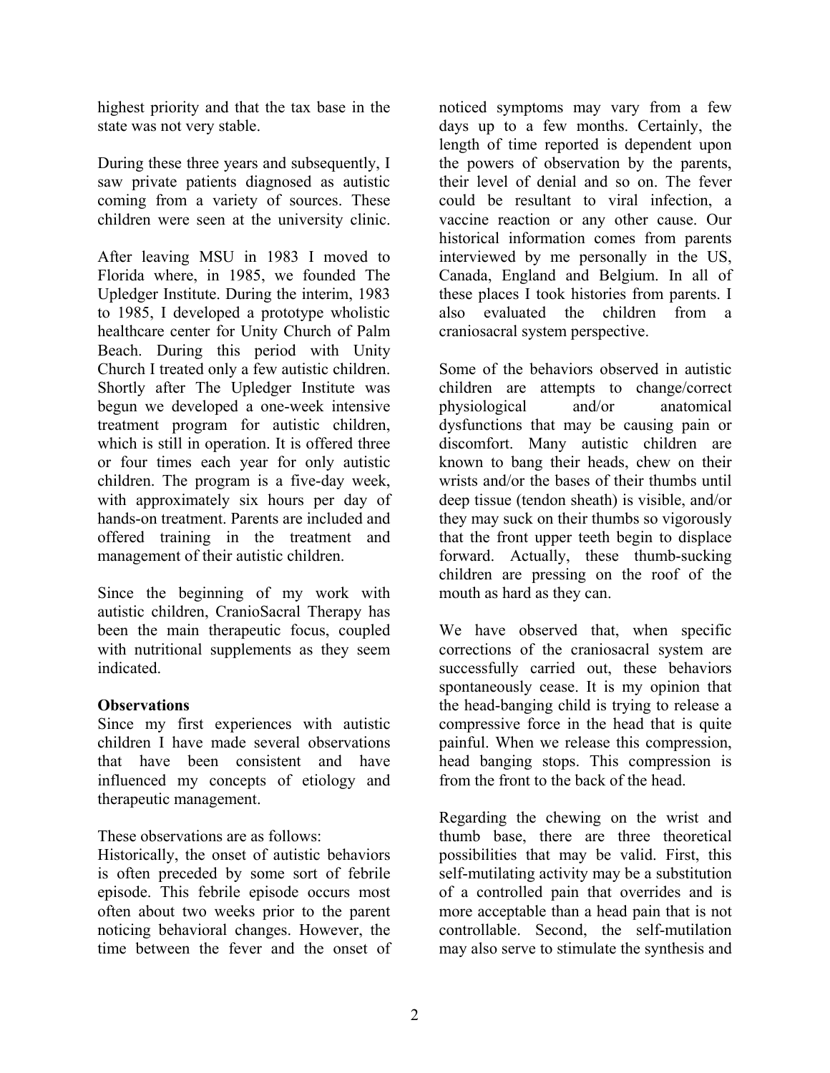highest priority and that the tax base in the state was not very stable.

During these three years and subsequently, I saw private patients diagnosed as autistic coming from a variety of sources. These children were seen at the university clinic.

After leaving MSU in 1983 I moved to Florida where, in 1985, we founded The Upledger Institute. During the interim, 1983 to 1985, I developed a prototype wholistic healthcare center for Unity Church of Palm Beach. During this period with Unity Church I treated only a few autistic children. Shortly after The Upledger Institute was begun we developed a one-week intensive treatment program for autistic children, which is still in operation. It is offered three or four times each year for only autistic children. The program is a five-day week, with approximately six hours per day of hands-on treatment. Parents are included and offered training in the treatment and management of their autistic children.

Since the beginning of my work with autistic children, CranioSacral Therapy has been the main therapeutic focus, coupled with nutritional supplements as they seem indicated.

#### **Observations**

Since my first experiences with autistic children I have made several observations that have been consistent and have influenced my concepts of etiology and therapeutic management.

These observations are as follows:

Historically, the onset of autistic behaviors is often preceded by some sort of febrile episode. This febrile episode occurs most often about two weeks prior to the parent noticing behavioral changes. However, the time between the fever and the onset of

noticed symptoms may vary from a few days up to a few months. Certainly, the length of time reported is dependent upon the powers of observation by the parents, their level of denial and so on. The fever could be resultant to viral infection, a vaccine reaction or any other cause. Our historical information comes from parents interviewed by me personally in the US, Canada, England and Belgium. In all of these places I took histories from parents. I also evaluated the children from a craniosacral system perspective.

Some of the behaviors observed in autistic children are attempts to change/correct physiological and/or anatomical dysfunctions that may be causing pain or discomfort. Many autistic children are known to bang their heads, chew on their wrists and/or the bases of their thumbs until deep tissue (tendon sheath) is visible, and/or they may suck on their thumbs so vigorously that the front upper teeth begin to displace forward. Actually, these thumb-sucking children are pressing on the roof of the mouth as hard as they can.

We have observed that, when specific corrections of the craniosacral system are successfully carried out, these behaviors spontaneously cease. It is my opinion that the head-banging child is trying to release a compressive force in the head that is quite painful. When we release this compression, head banging stops. This compression is from the front to the back of the head.

Regarding the chewing on the wrist and thumb base, there are three theoretical possibilities that may be valid. First, this self-mutilating activity may be a substitution of a controlled pain that overrides and is more acceptable than a head pain that is not controllable. Second, the self-mutilation may also serve to stimulate the synthesis and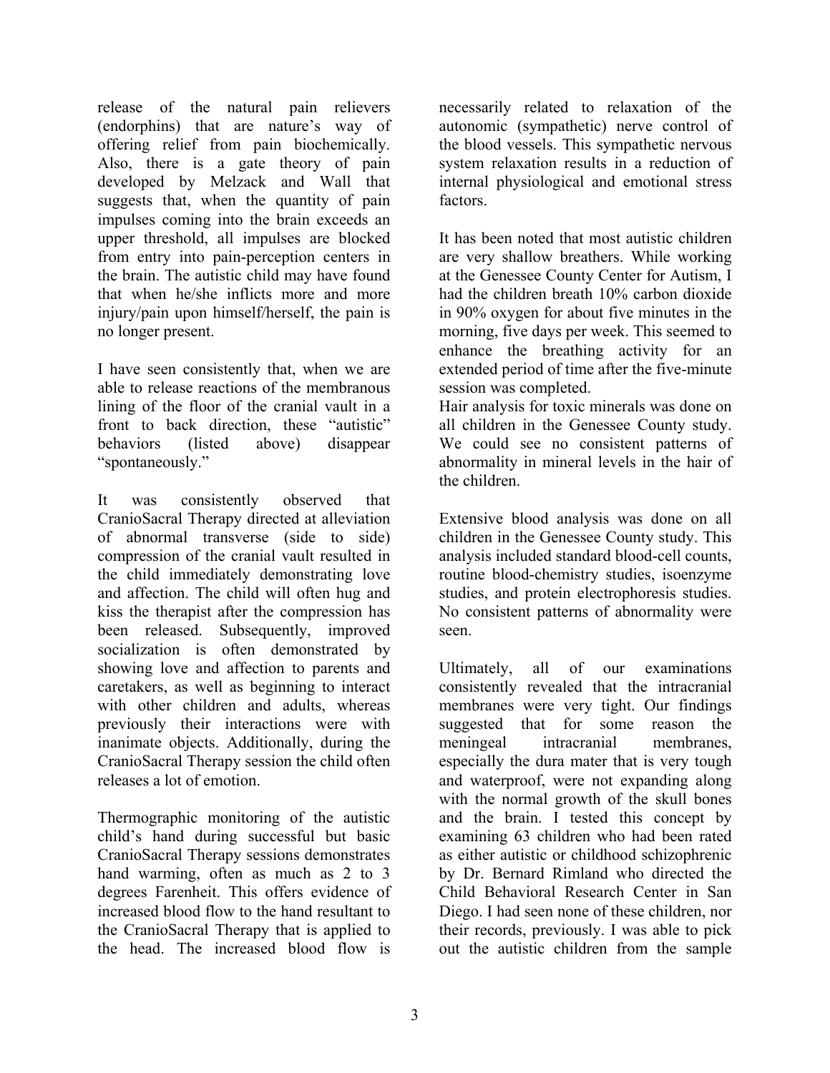release of the natural pain relievers (endorphins) that are nature's way of offering relief from pain biochemically. Also, there is a gate theory of pain developed by Melzack and Wall that suggests that, when the quantity of pain impulses coming into the brain exceeds an upper threshold, all impulses are blocked from entry into pain-perception centers in the brain. The autistic child may have found that when he/she inflicts more and more injury/pain upon himself/herself, the pain is no longer present.

I have seen consistently that, when we are able to release reactions of the membranous lining of the floor of the cranial vault in a front to back direction, these "autistic" behaviors (listed above) disappear "spontaneously."

It was consistently observed that CranioSacral Therapy directed at alleviation of abnormal transverse (side to side) compression of the cranial vault resulted in the child immediately demonstrating love and affection. The child will often hug and kiss the therapist after the compression has been released. Subsequently, improved socialization is often demonstrated by showing love and affection to parents and caretakers, as well as beginning to interact with other children and adults, whereas previously their interactions were with inanimate objects. Additionally, during the CranioSacral Therapy session the child often releases a lot of emotion.

Thermographic monitoring of the autistic child's hand during successful but basic CranioSacral Therapy sessions demonstrates hand warming, often as much as 2 to 3 degrees Farenheit. This offers evidence of increased blood flow to the hand resultant to the CranioSacral Therapy that is applied to the head. The increased blood flow is

necessarily related to relaxation of the autonomic (sympathetic) nerve control of the blood vessels. This sympathetic nervous system relaxation results in a reduction of internal physiological and emotional stress factors.

It has been noted that most autistic children are very shallow breathers. While working at the Genessee County Center for Autism, I had the children breath 10% carbon dioxide in 90% oxygen for about five minutes in the morning, five days per week. This seemed to enhance the breathing activity for an extended period of time after the five-minute session was completed.

Hair analysis for toxic minerals was done on all children in the Genessee County study. We could see no consistent patterns of abnormality in mineral levels in the hair of the children.

Extensive blood analysis was done on all children in the Genessee County study. This analysis included standard blood-cell counts, routine blood-chemistry studies, isoenzyme studies, and protein electrophoresis studies. No consistent patterns of abnormality were seen.

Ultimately, all of our examinations consistently revealed that the intracranial membranes were very tight. Our findings suggested that for some reason the meningeal intracranial membranes, especially the dura mater that is very tough and waterproof, were not expanding along with the normal growth of the skull bones and the brain. I tested this concept by examining 63 children who had been rated as either autistic or childhood schizophrenic by Dr. Bernard Rimland who directed the Child Behavioral Research Center in San Diego. I had seen none of these children, nor their records, previously. I was able to pick out the autistic children from the sample